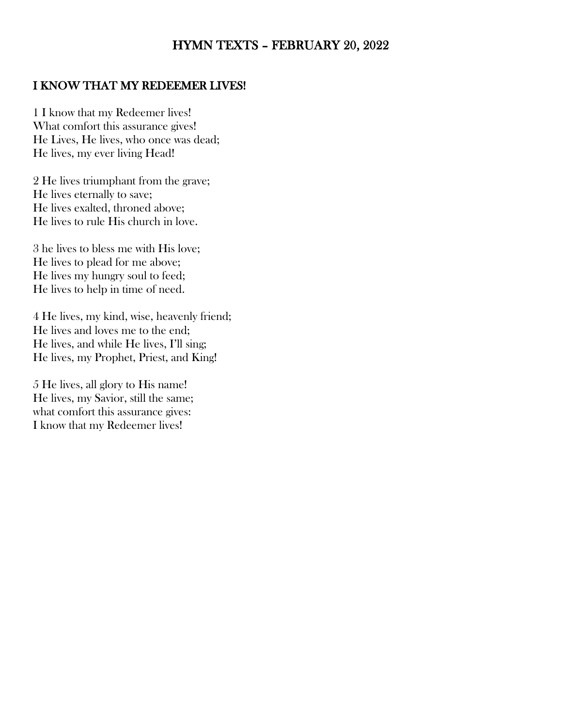### HYMN TEXTS – FEBRUARY 20, 2022

#### I KNOW THAT MY REDEEMER LIVES!

1 I know that my Redeemer lives! What comfort this assurance gives! He Lives, He lives, who once was dead; He lives, my ever living Head!

2 He lives triumphant from the grave; He lives eternally to save; He lives exalted, throned above; He lives to rule His church in love.

3 he lives to bless me with His love; He lives to plead for me above; He lives my hungry soul to feed; He lives to help in time of need.

4 He lives, my kind, wise, heavenly friend; He lives and loves me to the end; He lives, and while He lives, I'll sing; He lives, my Prophet, Priest, and King!

5 He lives, all glory to His name! He lives, my Savior, still the same; what comfort this assurance gives: I know that my Redeemer lives!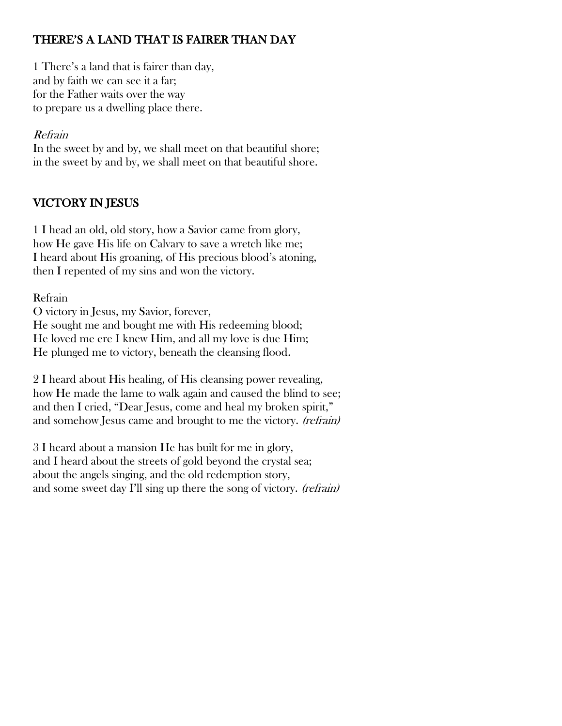# THERE'S A LAND THAT IS FAIRER THAN DAY

1 There's a land that is fairer than day, and by faith we can see it a far; for the Father waits over the way to prepare us a dwelling place there.

### Refrain

In the sweet by and by, we shall meet on that beautiful shore; in the sweet by and by, we shall meet on that beautiful shore.

### VICTORY IN JESUS

1 I head an old, old story, how a Savior came from glory, how He gave His life on Calvary to save a wretch like me; I heard about His groaning, of His precious blood's atoning, then I repented of my sins and won the victory.

Refrain

O victory in Jesus, my Savior, forever,

He sought me and bought me with His redeeming blood; He loved me ere I knew Him, and all my love is due Him; He plunged me to victory, beneath the cleansing flood.

2 I heard about His healing, of His cleansing power revealing, how He made the lame to walk again and caused the blind to see; and then I cried, "Dear Jesus, come and heal my broken spirit," and somehow Jesus came and brought to me the victory. (refrain)

3 I heard about a mansion He has built for me in glory, and I heard about the streets of gold beyond the crystal sea; about the angels singing, and the old redemption story, and some sweet day I'll sing up there the song of victory. (refrain)